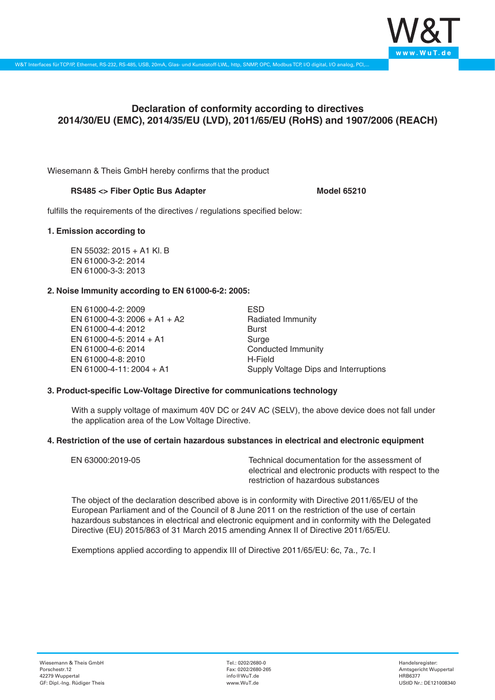

# **Declaration of conformity according to directives 2014/30/EU (EMC), 2014/35/EU (LVD), 2011/65/EU (RoHS) and 1907/2006 (REACH)**

Wiesemann & Theis GmbH hereby confirms that the product

## RS485 <> Fiber Optic Bus Adapter **Model 65210** Model 65210

fulfills the requirements of the directives / regulations specified below:

### **1. Emission according to**

EN 55032: 2015 + A1 Kl. B EN 61000-3-2: 2014 EN 61000-3-3: 2013

## **2. Noise Immunity according to EN 61000-6-2: 2005:**

EN 61000-4-2: 2009 EN 61000-4-3: 2006 + A1 + A2 EN 61000-4-4: 2012 EN 61000-4-5: 2014 + A1 EN 61000-4-6: 2014 EN 61000-4-8: 2010 EN 61000-4-11: 2004 + A1

ESD Radiated Immunity Burst Surge Conducted Immunity H-Field Supply Voltage Dips and Interruptions

## **3. Product-specific Low-Voltage Directive for communications technology**

With a supply voltage of maximum 40V DC or 24V AC (SELV), the above device does not fall under the application area of the Low Voltage Directive.

#### **4. Restriction of the use of certain hazardous substances in electrical and electronic equipment**

| EN 63000:2019-05 | Technical documentation for the assessment of          |
|------------------|--------------------------------------------------------|
|                  | electrical and electronic products with respect to the |
|                  | restriction of hazardous substances                    |

The object of the declaration described above is in conformity with Directive 2011/65/EU of the European Parliament and of the Council of 8 June 2011 on the restriction of the use of certain hazardous substances in electrical and electronic equipment and in conformity with the Delegated Directive (EU) 2015/863 of 31 March 2015 amending Annex II of Directive 2011/65/EU.

Exemptions applied according to appendix III of Directive 2011/65/EU: 6c, 7a., 7c. I